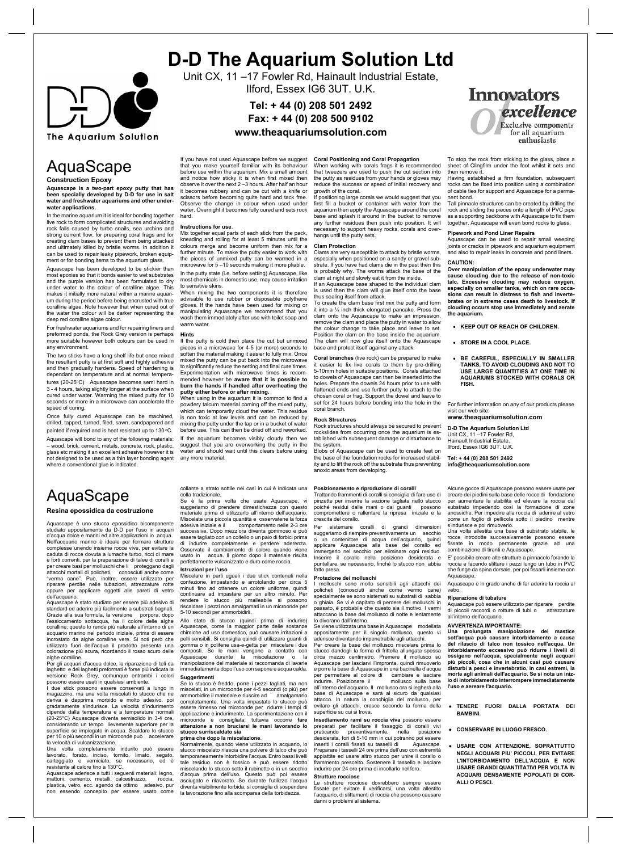

# **D-D The Aquarium Solution Ltd**

Unit CX, 11-17 Fowler Rd, Hainault Industrial Estate, Ilford, Essex IG6 3UT. U.K.

**Tel: + 44 (0) 208 501 2492 Fax: + 44 (0) 208 500 9102**

## **www.theaquariumsolution.com**

AquaScape

## **Construction Epoxy**

**Aquascape is a two-part epoxy putty that has been specially developed by D-D for use in salt water and freshwater aquariums and other underwater applications.**

In the marine aquarium it is ideal for bonding together live rock to form complicated structures and avoiding rock falls caused by turbo snails, sea urchins and strong current flow, for preparing coral frags and for creating clam bases to prevent them being attacked and ultimately killed by bristle worms. In addition it can be used to repair leaky pipework, broken equip-ment or for bonding items to the aquarium glass.

Aquascape has been developed to be stickier than most epoxies so that it bonds easier to wet substrates and the purple version has been formulated to dry under water to the colour of coralline algae. This makes it initially more natural within a marine aquari-um during the period before being encrusted with true coralline algae. Note however that when cured out of the water the colour will be darker representing the deep red coralline algae colour.

For freshwater aquariums and for repairing liners and preformed ponds, the Rock Grey version is perhaps more suitable however both colours can be used in any environment.

The two sticks have a long shelf life but once mixed the resultant putty is at first soft and highly adhesive and then gradually hardens. Speed of hardening is dependant on temperature and at normal temperatures (20-25ºC) Aquascape becomes semi hard in<br>3 - 4 hours, taking slightly longer at the surface when<br>cured under water. Warming the mixed putty for 10 seconds or more in a microwave can accelerate the speed of curing.

Once fully cured Aquascape can be machined, drilled, tapped, turned, filed, sawn, sandpapered and painted if required and is heat resistant up to 130 °C.

Aquascape will bond to any of the following materials: – wood, brick, cement, metals, concrete, rock, plastic, glass etc making it an excellent adhesive however it is grass cite maning is an executive account of the probability in the used as a thin layer bonding agent where a conventional glue is indicated

## AquaScape **Resina epossidica da costruzione**

Aquascape è uno stucco epossidico bicomponente<br>studiato appositamente da D-D per l'uso in acquari<br>d'acqua dolce e marini ed altre applicazioni in acqua. Nell'acquario marino è ideale per formare struttu complesse unendo insieme rocce vive, per evitare la caduta di rocce dovuta a lumache turbo, ricci di mare e forti correnti, per la preparazione di talee di coralli e<br>per creare basi per molluschi che li proteggano dagli<br>attacchi mortali di policheti, conosciuti anche come<br>"vermo cane". Può, inoltre, essere utilizzato per<br>ripar oppure per applicare oggetti alle pareti di vetro dell'acquario.

Aquascape è stato studiato per essere più adesivo di standard ed aderire più facilmente a substrati bagnati.<br>Grazie alla sua formula, la versione porpora, dopo<br>l'essiccamento sottacqua, ha il colore delle alghe<br>coralline; questo lo rende più naturale all'interno d acquario marino nel periodo iniziale, prima di essere incrostato da alghe coralline vere. Si noti però che utilizzato fuori dell'acqua il prodotto presenta una

colorazione più scura, ricordando il rosso scuro delle alghe coralline. Per gli acquari d'acqua dolce, la riparazione di teli da laghetto e dei laghetti preformati è forse più indicata la versione Rock Grey, comunque entrambi i colori possono essere usati in qualsiasi ambiente. I due stick possono essere conservati a lungo in

magazzino, ma una volta miscelati lo stucco che ne deriva è dapprima morbido e molto adesivo, poi gradatamente s'indurisce. La velocità d'indurimento dipende dalla temperatura e a temperature normali (20-25°C) Aquascape diventa semisolido in 3-4 ore, considerando un tempo lievemente superiore per la superficie se impiegato in acqua. Scaldare lo stucco

per 10 o più secondi in un microonde può accelerare<br>la velocità di vulcanizzazione.<br>Una volta completamente indurito può essere<br>lavorato, forato, inciso, tornito, limato, segato,<br>carteggiato e verniciato, se necessario, ed

Aquascape aderisce a tutti i seguenti materiali: legno, mattoni, cemento, metalli, calcestruzzo, roccia, plastica, vetro, ecc. agendo da ottimo adesivo, pur non essendo concepito per essere usato come

If you have not used Aquascape before we suggest that you make yourself familiar with its behaviour before use within the aquarium. Mix a small amount and notice how sticky it is when first mixed then observe it over the next 2 –3 hours. After half an hour it becomes rubbery and can be cut with a knife or scissors before becoming quite hard and tack free.<br>Observe the change in colour when used under the change in colour when used under water. Overnight it becomes fully cured and sets rock hard.

### **Instructions for use**.

Mix together equal parts of each stick from the pack, kneading and rolling for at least 5 minutes until the<br>colours merge and become uniform then mix for a<br>further minute. To make the putty easier to work with<br>the pieces of unmixed putty can be warmed in a microwave for 5 –10 seconds making it more pliable.

In the putty state (i.e. before setting) Aquascape, like most chemicals in domestic use, may cause irritation to sensitive skins.

When mixing the two components it is therefore advisable to use rubber or disposable polythene gloves. If the hands have been used for mixing or manipulating Aquascape we recommend that you wash them immediately after use with toilet soap and warm water

### **Hints**

If the putty is cold then place the cut but unmixed pieces in a microwave for 4-5 (or more) seconds to soften the material making it easier to fully mix. Once mixed the putty can be put back into the microwave to significantly reduce the setting and final cure times. Experimentation with microwave times is recom-<br>mended however be aware that it is possible to mended however be **aware that it is possible to burn the hands if handled after overheating the putty either before or after mixing.**

When using in the aquarium it is common to find a powdery talcum material coming off the mixed putty, which can temporarily cloud the water. This residue is non toxic at low levels and can be reduced by mixing the putty under the tap or in a bucket of water before use. This can then be dried off and reworked. If the aquarium becomes visibly cloudy then we suggest that you are overworking the putty in the water and should wait until this clears before using any more material.

collante a strato sottile nei casi in cui è indicata una

colla tradizionale. Se è la prima volta che usate Aquascape, vi suggeriamo di prendere dimestichezza con questo materiale prima di utilizzarlo all'interno dell'acquario. Miscelate una piccola quantità e osservatene la forza adesiva iniziale e il comportamento nelle 2-3 ore successive. Dopo mezz'ora diventa gommoso e può essere tagliato con un coltello o un paio di forbici prima di indurire completamente e perdere aderenza. Osservate il cambiamento di colore quando viene usato in acqua. Il giorno dopo il materiale risulta perfettamente vulcanizzato e duro come roccia.

### **Istruzioni per l'uso**

Miscelare in parti uguali i due stick contenuti nella confezione, impastando e arrotolando per circa 5 minuti fino ad ottenere un colore uniforme, quindi continuare ad impastare per un altro minuto. Per rendere lo stucco più malleabile si possono riscaldare i pezzi non amalgamati in un microonde per 5-10 secondi per ammorbidirli.

Allo stato di stucco (quindi prima di indurire) Aquascape, come la maggior parte delle sostanze chimiche ad uso domestico, può causare irritazioni a pelli sensibili. Si consiglia quindi di utilizzare guanti di gomma o in politene usa-e-getta per miscelare i due composti. Se le mani vengono a contatto con Aquascape durante la miscelazione o la manipolazione del materiale si raccomanda di lavarle immediatamente dopo l'uso con sapone e acqua calda.

**Suggerimenti** Se lo stucco è freddo, porre i pezzi tagliati, ma non miscelati, in un microonde per 4-5 secondi (o più) per ammorbidire il materiale e riuscire ad amalgamarlo completamente. Una volta impastato lo stucco può essere rimesso nel microonde per ridurre i tempi di applicazione e indurimento. La sperimentazione con il microonde è consigliata; tuttavia occorre **fare attenzione a non bruciarsi le mani lavorando lo stucco surriscaldato sia prima che dopo la miscelazione**.

Normalmente, quando viene utilizzato in acquario, lo stucco miscelato rilascia una polvere di talco che può<br>temporanemente intorbidire l'acqua. Entro bassi livelli<br>tale residuo non è tossico e può essere ridotto<br>miscelando lo stucco sotto il rubinetto o in un secchio<br>d'acqua diventa visibilmente torbida, si consiglia di sospendere la lavorazione fino alla scomparsa della torbidezza.

**Coral Positioning and Coral Propagation** When working with corals frags it is recommended<br>that tweezers are used to push the cut section into<br>the putty as residues from your hands or gloves may<br>reduce the success or speed of initial recovery and

growth of the coral. If positioning large corals we would suggest that you first fill a bucket or container with water from the aquarium then apply the Aquascape around the coral base and splash it around in the bucket to remove any further residues then push into position. It will necessary to support heavy rocks, corals and over-hangs until the putty sets.

### **Clam Protection**

Clams are very susceptible to attack by bristle worms, especially when positioned on a sandy or gravel substrate. If you have had clams die in the past then this is probably why. The worms attack the base of the clam at night and slowly eat it from the inside.

If an Aquascape base shaped to the individual clam is used then the clam will glue itself onto the base

thus sealing itself from attack. To create the clam base first mix the putty and form it into a ¼ inch thick elongated pancake. Press the clam onto the Aquascape to make an impression, remove the clam and place the putty in water to allow the colour change to take place and leave to set. Position the clam on the base inside the aquarium. The clam will now glue itself onto the Aquascape base and protect itself against any attack.

**Coral branches** (live rock) can be prepared to make it easier to fix live corals to them by pre-drilling 5-10mm holes in suitable positions. Corals attached to dowels of Aquascape can then be inserted into the holes. Prepare the dowels 24 hours prior to use with flattened ends and use further putty to attach to the chosen coral or frag. Support the dowel and leave to

# coral branch.

**Rock Structures** Rock structures should always be secured to prevent

ape can be used to create feet on the base of the foundation rocks for increased stability and to lift the rock off the substrate thus preventing anoxic areas from developing.

Trattando frammenti di coralli si consiglia di fare uso di pinzette per inserire la sezione tagliata nello stucco poiché residui dalle mani o dai guanti possono compromettere o rallentare la ripresa iniziale e la crescita del corallo.

Per sistemare coralli di grandi dimensioni suggeriamo di riempire preventivamente un secchio o un contenitore di acqua dell'acquario, quindi applicare Aquascape alla base del corallo ed immergerlo nel secchio per eliminare ogni residuo. Inserire il corallo nella posizione desiderata e puntellare, se necessario, finché lo stucco non abbia fatto pres

**Protezione dei molluschi**<br>I molluschi sono molto sensibili agli attacchi dei<br>policheti (conosciuti anche come vermo cane)<br>specialmente se sono sistemati su substrati di sabbia o ghiaia. Se vi è capitato di perdere dei molluschi in passato, è probabile che questo sia il motivo. I vermi

attaccano la base del mollusco di notte e lentamente<br>lo divorano dall'interno.<br>Se viene utilizzata una base in Aquascape modellata<br>appositamente per il singolo mollusco, questo vi<br>aderisce diventando impenetrabile agli att

Per creare la base del mollusco miscelare prima lo stucco dandogli la forma di frittella allungata spessa circa mezzo centimetro. Premere il mollusco su Aquascape per lasciarvi l'impronta, quindi rimuoverlo e porre la base di Aquascape in una bacinella d'acqua per permettere al colore di cambiare e lasciare indurire. Posizionare il mollusco sulla base all'interno dell'acquario. Il mollusco ora si legherà alla base di Aquascape e sarà al sicuro da qualsiasi attacco. In natura la conchiglia del mollusco, per evitare gli attacchi, cresce secondo la forma della superficie su cui si trova.

**Insediamento rami su roccia viva** possono essere<br>preparati per facilitare il fissaggio di coralli vivi<br>praticando preventivamente, nella posizione<br>desiderata, fori di 5-10 mm in cui potranno poi essere inseriti i coralli fissati su tasselli di Aquascape.<br>Preparare i tasselli 24 ore prima dell'uso con estremità<br>appiattite ed usare altro stucco per unire il corallo d<br>frammento prescelto. Sostenere il tassello e lasciare<br>in

**Strutture rocciose**<br>Le strutture rocciose dovrebbero sempre essere<br>fissate per evitare il verificarsi, una volta allestito<br>l'acquario, di slittamenti di roccia che possono causare danni o problemi al sistema.

**Innovators** excellence xclusive components for all aquarium enthusiasts

To stop the rock from sticking to the glass, place a sheet of Clingfilm under the foot whilst it sets and

then remove it. Having established a firm foundation, subsequent rocks can be fixed into position using a combination of cable ties for support and Aquascape for a perma-

nent bond. Tall pinnacle structures can be created by drilling the rock and sliding the pieces onto a length of PVC pipe as a supporting backbone with Aquascape to fix them together. Aquascape will even bond rocks to glass.

## **Pipework and Pond Liner Repairs**

Aquascape can be used to repair small weeping joints or cracks in pipework and aquarium equipment and also to repair leaks in concrete and pond liners.

### **CAUTION:**

**Over manipulation of the epoxy under** cause clouding due to the release of non-toxic<br>talc. Excessive clouding may reduce oxygen,<br>especially on smaller tanks, which on rare occa-<br>sions can result in distress to fish and inverte-<br>brates or in extreme cases death **clouding occurs stop use immediately and aerate the aquarium.**

- · **KEEP OUT OF REACH OF CHILDREN.**
- · **STORE IN A COOL PLACE.**
- BE CAREFUL, ESPECIALLY IN SMALLER **TANKS, TO AVOID CLOUDING AND NOT TO USE LARGE QUANTITIES AT ONE TIME IN AQUARIUMS STOCKED WITH CORALS OR FISH.**

For further information on any of our products please visit our web site:

**www.theaquariumsolution.com**

**D-D The Aquarium Solution Ltd** Unit CX, 11 –17 Fowler Rd, Hainault Industrial Estate, Ilford, Essex IG6 3UT. U.K.

**Tel: + 44 (0) 208 501 2492** ا بن<br>م**مبران**quariums

Alcune gocce di Aquascape possono essere usate per creare dei piedini sulla base delle rocce di fondazione per aumentare la stabilità ed elevare la roccia dal substrato impedendo così la formazione di zone anossiche. Per impedire alla roccia di aderire al vetro porre un foglio di pellicola sotto il piedino mentre s'indurisce e poi rimuoverlo.

Una volta allestita una base di substrato stabile, le rocce introdotte successivamente possono essere fissate in modo permanente grazie ad una combinazione di tiranti e Aquascape.

E' possibile creare alte strutture a pinnacolo forando la roccia e facendo slittare i pezzi lungo un tubo in PVC che funge da spina dorsale, per poi fissarli insieme con

Aquascape. Aquascape è in grado anche di far aderire la roccia al

## vetro.

**Riparazione di tubature**<br>Aquascape può essere utilizzato per riparare perdite<br>di piccoli raccordi o rotture di tubi o attrezzature all'interno dell'acquario.

AVVERTENZA IMPORTANTE:<br>Una prolungata manipolazione del mastice<br>sott'acqua può causare intorbidamento a causa<br>del rilascio di talco non tossico nell'acqua. Un<br>intorbidamento eccessivo può ridurre i livelli di<br>ossigeno nell **disturbi a pesci e invertebratio, in casi estremi, la morte agli animali dell'acquario. Se si nota un iniz-io di intorbidamento interrompere immediatamente l'uso e aereare l'acquario.**

- **● TENERE FUORI DALLA PORTATA DEI BAMBINI.**
- **● CONSERVARE IN LUOGO FRESCO.**
- **● USARE CON ATTENZIONE, SOPRATTUTTO NEGLI ACQUARI PIU' PICCOLI, PER EVITARE L'INTORBIDAMENTO DELL'ACQUA E NON USARE GRANDI QUANTITATIVI PER VOLTA IN ACQUARI DENSAMENTE POPOLATI DI COR-ALLI O PESCI.**

set for 24 hours before bonding into the hole in the

rockslides from occurring once the aquarium is es-tablished with subsequent damage or disturbance to the system.<br>Blobs of Aqu

### **Posizionamento e riproduzione di coralli**